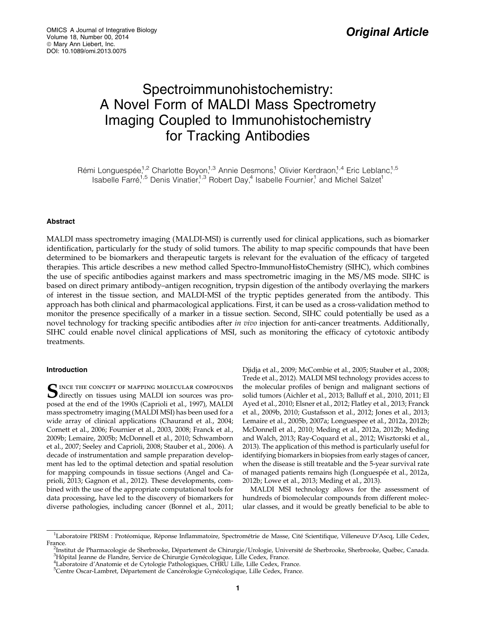# Spectroimmunohistochemistry: A Novel Form of MALDI Mass Spectrometry Imaging Coupled to Immunohistochemistry for Tracking Antibodies

Rémi Longuespée,<sup>1,2</sup> Charlotte Boyon,<sup>1,3</sup> Annie Desmons,<sup>1</sup> Olivier Kerdraon,<sup>1,4</sup> Eric Leblanc,<sup>1,5</sup> Isabelle Farré,<sup>1,5</sup> Denis Vinatier,<sup>1,3</sup> Robert Day,<sup>4</sup> Isabelle Fournier,<sup>1</sup> and Michel Salzet<sup>1</sup>

## Abstract

MALDI mass spectrometry imaging (MALDI-MSI) is currently used for clinical applications, such as biomarker identification, particularly for the study of solid tumors. The ability to map specific compounds that have been determined to be biomarkers and therapeutic targets is relevant for the evaluation of the efficacy of targeted therapies. This article describes a new method called Spectro-ImmunoHistoChemistry (SIHC), which combines the use of specific antibodies against markers and mass spectrometric imaging in the MS/MS mode. SIHC is based on direct primary antibody–antigen recognition, trypsin digestion of the antibody overlaying the markers of interest in the tissue section, and MALDI-MSI of the tryptic peptides generated from the antibody. This approach has both clinical and pharmacological applications. First, it can be used as a cross-validation method to monitor the presence specifically of a marker in a tissue section. Second, SIHC could potentially be used as a novel technology for tracking specific antibodies after *in vivo* injection for anti-cancer treatments. Additionally, SIHC could enable novel clinical applications of MSI, such as monitoring the efficacy of cytotoxic antibody treatments.

# Introduction

SINCE THE CONCEPT OF MAPPING MOLECULAR COMPOUNDS<br>directly on tissues using MALDI ion sources was proposed at the end of the 1990s (Caprioli et al., 1997), MALDI mass spectrometry imaging (MALDI MSI) has been used for a wide array of clinical applications (Chaurand et al., 2004; Cornett et al., 2006; Fournier et al., 2003, 2008; Franck et al., 2009b; Lemaire, 2005b; McDonnell et al., 2010; Schwamborn et al., 2007; Seeley and Caprioli, 2008; Stauber et al., 2006). A decade of instrumentation and sample preparation development has led to the optimal detection and spatial resolution for mapping compounds in tissue sections (Angel and Caprioli, 2013; Gagnon et al., 2012). These developments, combined with the use of the appropriate computational tools for data processing, have led to the discovery of biomarkers for diverse pathologies, including cancer (Bonnel et al., 2011;

Djidja et al., 2009; McCombie et al., 2005; Stauber et al., 2008; Trede et al., 2012). MALDI MSI technology provides access to the molecular profiles of benign and malignant sections of solid tumors (Aichler et al., 2013; Balluff et al., 2010, 2011; El Ayed et al., 2010; Elsner et al., 2012; Flatley et al., 2013; Franck et al., 2009b, 2010; Gustafsson et al., 2012; Jones et al., 2013; Lemaire et al., 2005b, 2007a; Longuespee et al., 2012a, 2012b; McDonnell et al., 2010; Meding et al., 2012a, 2012b; Meding and Walch, 2013; Ray-Coquard et al., 2012; Wisztorski et al., 2013). The application of this method is particularly useful for identifying biomarkers in biopsies from early stages of cancer, when the disease is still treatable and the 5-year survival rate of managed patients remains high (Longuespée et al., 2012a, 2012b; Lowe et al., 2013; Meding et al., 2013).

MALDI MSI technology allows for the assessment of hundreds of biomolecular compounds from different molecular classes, and it would be greatly beneficial to be able to

<sup>2</sup>Institut de Pharmacologie de Sherbrooke, Département de Chirurgie/Urologie, Université de Sherbrooke, Sherbrooke, Québec, Canada.  ${}^{3}$ Hôpital Jeanne de Flandre, Service de Chirurgie Gynécologique, Lille Cedex, France.

<sup>4</sup>Laboratoire d'Anatomie et de Cytologie Pathologiques, CHRU Lille, Lille Cedex, France.

<sup>&</sup>lt;sup>1</sup>Laboratoire PRISM : Protéomique, Réponse Inflammatoire, Spectrométrie de Masse, Cité Scientifique, Villeneuve D'Ascq, Lille Cedex, France.

<sup>&</sup>lt;sup>5</sup>Centre Oscar-Lambret, Département de Cancérologie Gynécologique, Lille Cedex, France.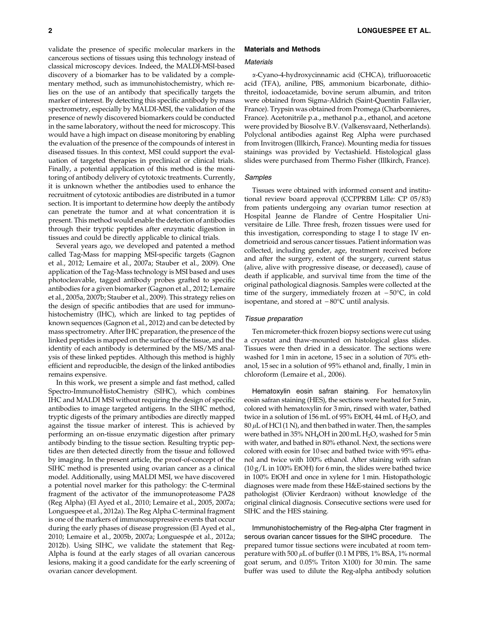validate the presence of specific molecular markers in the cancerous sections of tissues using this technology instead of classical microscopy devices. Indeed, the MALDI-MSI-based discovery of a biomarker has to be validated by a complementary method, such as immunohistochemistry, which relies on the use of an antibody that specifically targets the marker of interest. By detecting this specific antibody by mass spectrometry, especially by MALDI-MSI, the validation of the presence of newly discovered biomarkers could be conducted in the same laboratory, without the need for microscopy. This would have a high impact on disease monitoring by enabling the evaluation of the presence of the compounds of interest in diseased tissues. In this context, MSI could support the evaluation of targeted therapies in preclinical or clinical trials. Finally, a potential application of this method is the monitoring of antibody delivery of cytotoxic treatments. Currently, it is unknown whether the antibodies used to enhance the recruitment of cytotoxic antibodies are distributed in a tumor section. It is important to determine how deeply the antibody can penetrate the tumor and at what concentration it is present. This method would enable the detection of antibodies through their tryptic peptides after enzymatic digestion in tissues and could be directly applicable to clinical trials.

Several years ago, we developed and patented a method called Tag-Mass for mapping MSI-specific targets (Gagnon et al., 2012; Lemaire et al., 2007a; Stauber et al., 2009). One application of the Tag-Mass technology is MSI based and uses photocleavable, tagged antibody probes grafted to specific antibodies for a given biomarker (Gagnon et al., 2012; Lemaire et al., 2005a, 2007b; Stauber et al., 2009). This strategy relies on the design of specific antibodies that are used for immunohistochemistry (IHC), which are linked to tag peptides of known sequences (Gagnon et al., 2012) and can be detected by mass spectrometry. After IHC preparation, the presence of the linked peptides is mapped on the surface of the tissue, and the identity of each antibody is determined by the MS/MS analysis of these linked peptides. Although this method is highly efficient and reproducible, the design of the linked antibodies remains expensive.

In this work, we present a simple and fast method, called Spectro-ImmunoHistoChemistry (SIHC), which combines IHC and MALDI MSI without requiring the design of specific antibodies to image targeted antigens. In the SIHC method, tryptic digests of the primary antibodies are directly mapped against the tissue marker of interest. This is achieved by performing an on-tissue enzymatic digestion after primary antibody binding to the tissue section. Resulting tryptic peptides are then detected directly from the tissue and followed by imaging. In the present article, the proof-of-concept of the SIHC method is presented using ovarian cancer as a clinical model. Additionally, using MALDI MSI, we have discovered a potential novel marker for this pathology: the C-terminal fragment of the activator of the immunoproteasome PA28 (Reg Alpha) (El Ayed et al., 2010; Lemaire et al., 2005, 2007a; Longuespee et al., 2012a). The Reg Alpha C-terminal fragment is one of the markers of immunosuppressive events that occur during the early phases of disease progression (El Ayed et al., 2010; Lemaire et al., 2005b, 2007a; Longuespée et al., 2012a; 2012b). Using SIHC, we validate the statement that Reg-Alpha is found at the early stages of all ovarian cancerous lesions, making it a good candidate for the early screening of ovarian cancer development.

#### Materials and Methods

## **Materials**

a-Cyano-4-hydroxycinnamic acid (CHCA), trifluoroacetic acid (TFA), aniline, PBS, ammonium bicarbonate, dithiothreitol, iodoacetamide, bovine serum albumin, and triton were obtained from Sigma-Aldrich (Saint-Quentin Fallavier, France). Trypsin was obtained from Promega (Charbonnieres, France). Acetonitrile p.a., methanol p.a., ethanol, and acetone were provided by Biosolve B.V. (Valkensvaard, Netherlands). Polyclonal antibodies against Reg Alpha were purchased from Invitrogen (Illkirch, France). Mounting media for tissues stainings was provided by Vectashield. Histological glass slides were purchased from Thermo Fisher (Illkirch, France).

#### **Samples**

Tissues were obtained with informed consent and institutional review board approval (CCPPRBM Lille: CP 05/83) from patients undergoing any ovarian tumor resection at Hospital Jeanne de Flandre of Centre Hospitalier Universitaire de Lille. Three fresh, frozen tissues were used for this investigation, corresponding to stage I to stage IV endometrioid and serous cancer tissues. Patient information was collected, including gender, age, treatment received before and after the surgery, extent of the surgery, current status (alive, alive with progressive disease, or deceased), cause of death if applicable, and survival time from the time of the original pathological diagnosis. Samples were collected at the time of the surgery, immediately frozen at  $-50^{\circ}$ C, in cold isopentane, and stored at  $-80^{\circ}$ C until analysis.

#### Tissue preparation

Ten micrometer-thick frozen biopsy sections were cut using a cryostat and thaw-mounted on histological glass slides. Tissues were then dried in a dessicator. The sections were washed for 1 min in acetone, 15 sec in a solution of 70% ethanol, 15 sec in a solution of 95% ethanol and, finally, 1 min in chloroform (Lemaire et al., 2006).

Hematoxylin eosin safran staining. For hematoxylin eosin safran staining (HES), the sections were heated for 5 min, colored with hematoxylin for 3 min, rinsed with water, bathed twice in a solution of 156 mL of 95% EtOH, 44 mL of  $H_2O$ , and  $80 \mu L$  of HCl (1 N), and then bathed in water. Then, the samples were bathed in 35% NH<sub>4</sub>OH in 200 mL H<sub>2</sub>O, washed for 5 min with water, and bathed in 80% ethanol. Next, the sections were colored with eosin for 10 sec and bathed twice with 95% ethanol and twice with 100% ethanol. After staining with safran  $(10 g/L$  in 100% EtOH) for 6 min, the slides were bathed twice in 100% EtOH and once in xylene for 1 min. Histopathologic diagnoses were made from these H&E-stained sections by the pathologist (Olivier Kerdraon) without knowledge of the original clinical diagnosis. Consecutive sections were used for SIHC and the HES staining.

Immunohistochemistry of the Reg-alpha Cter fragment in serous ovarian cancer tissues for the SIHC procedure. The prepared tumor tissue sections were incubated at room temperature with 500  $\mu$ L of buffer (0.1 M PBS, 1% BSA, 1% normal goat serum, and 0.05% Triton X100) for 30 min. The same buffer was used to dilute the Reg-alpha antibody solution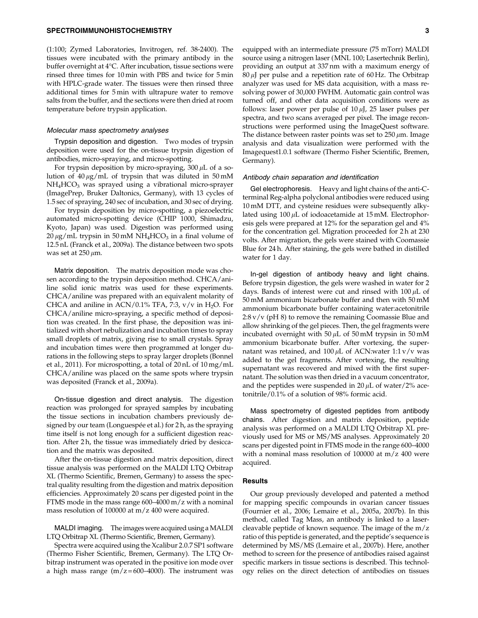## SPECTROIMMUNOHISTOCHEMISTRY 3

(1:100; Zymed Laboratories, Invitrogen, ref. 38-2400). The tissues were incubated with the primary antibody in the buffer overnight at 4°C. After incubation, tissue sections were rinsed three times for 10 min with PBS and twice for 5 min with HPLC-grade water. The tissues were then rinsed three additional times for 5 min with ultrapure water to remove salts from the buffer, and the sections were then dried at room temperature before trypsin application.

#### Molecular mass spectrometry analyses

Trypsin deposition and digestion. Two modes of trypsin deposition were used for the on-tissue trypsin digestion of antibodies, micro-spraying, and micro-spotting.

For trypsin deposition by micro-spraying,  $300 \mu L$  of a solution of  $40 \mu g/mL$  of trypsin that was diluted in  $50 \text{ mM}$  $NH<sub>4</sub>HCO<sub>3</sub>$  was sprayed using a vibrational micro-sprayer (ImagePrep, Bruker Daltonics, Germany), with 13 cycles of 1.5 sec of spraying, 240 sec of incubation, and 30 sec of drying.

For trypsin deposition by micro-spotting, a piezoelectric automated micro-spotting device (CHIP 1000, Shimadzu, Kyoto, Japan) was used. Digestion was performed using  $20 \mu$ g/mL trypsin in 50 mM NH<sub>4</sub>HCO<sub>3</sub> in a final volume of 12.5 nL (Franck et al., 2009a). The distance between two spots was set at  $250 \mu m$ .

Matrix deposition. The matrix deposition mode was chosen according to the trypsin deposition method. CHCA/aniline solid ionic matrix was used for these experiments. CHCA/aniline was prepared with an equivalent molarity of CHCA and aniline in ACN/0.1% TFA, 7:3,  $v/v$  in H<sub>2</sub>O. For CHCA/aniline micro-spraying, a specific method of deposition was created. In the first phase, the deposition was initialized with short nebulization and incubation times to spray small droplets of matrix, giving rise to small crystals. Spray and incubation times were then programmed at longer durations in the following steps to spray larger droplets (Bonnel et al., 2011). For microspotting, a total of 20 nL of 10 mg/mL CHCA/aniline was placed on the same spots where trypsin was deposited (Franck et al., 2009a).

On-tissue digestion and direct analysis. The digestion reaction was prolonged for sprayed samples by incubating the tissue sections in incubation chambers previously designed by our team (Longuespée et al.) for 2 h, as the spraying time itself is not long enough for a sufficient digestion reaction. After 2 h, the tissue was immediately dried by desiccation and the matrix was deposited.

After the on-tissue digestion and matrix deposition, direct tissue analysis was performed on the MALDI LTQ Orbitrap XL (Thermo Scientific, Bremen, Germany) to assess the spectral quality resulting from the digestion and matrix deposition efficiencies. Approximately 20 scans per digested point in the FTMS mode in the mass range 600–4000 m/z with a nominal mass resolution of 100000 at m/z 400 were acquired.

MALDI imaging. The images were acquired using a MALDI LTQ Orbitrap XL (Thermo Scientific, Bremen, Germany).

Spectra were acquired using the Xcalibur 2.0.7 SP1 software (Thermo Fisher Scientific, Bremen, Germany). The LTQ Orbitrap instrument was operated in the positive ion mode over a high mass range (m/z= $600-4000$ ). The instrument was equipped with an intermediate pressure (75 mTorr) MALDI source using a nitrogen laser (MNL 100; Lasertechnik Berlin), providing an output at 337 nm with a maximum energy of  $80 \mu$ J per pulse and a repetition rate of 60 Hz. The Orbitrap analyzer was used for MS data acquisition, with a mass resolving power of 30,000 FWHM. Automatic gain control was turned off, and other data acquisition conditions were as follows: laser power per pulse of  $10 \mu$ J, 25 laser pulses per spectra, and two scans averaged per pixel. The image reconstructions were performed using the ImageQuest software. The distance between raster points was set to  $250 \mu m$ . Image analysis and data visualization were performed with the Imagequest1.0.1 software (Thermo Fisher Scientific, Bremen, Germany).

#### Antibody chain separation and identification

Gel electrophoresis. Heavy and light chains of the anti-Cterminal Reg-alpha polyclonal antibodies were reduced using 10 mM DTT, and cysteine residues were subsequently alkylated using  $100 \mu L$  of iodoacetamide at 15 mM. Electrophoresis gels were prepared at 12% for the separation gel and 4% for the concentration gel. Migration proceeded for 2 h at 230 volts. After migration, the gels were stained with Coomassie Blue for 24 h. After staining, the gels were bathed in distilled water for 1 day.

In-gel digestion of antibody heavy and light chains. Before trypsin digestion, the gels were washed in water for 2 days. Bands of interest were cut and rinsed with  $100 \mu L$  of 50 mM ammonium bicarbonate buffer and then with 50 mM ammonium bicarbonate buffer containing water:acetonitrile 2:8 v/v (pH 8) to remove the remaining Coomassie Blue and allow shrinking of the gel pieces. Then, the gel fragments were incubated overnight with  $50 \mu L$  of  $50 \text{ mM}$  trypsin in  $50 \text{ mM}$ ammonium bicarbonate buffer. After vortexing, the supernatant was retained, and  $100 \mu L$  of ACN:water 1:1 v/v was added to the gel fragments. After vortexing, the resulting supernatant was recovered and mixed with the first supernatant. The solution was then dried in a vacuum concentrator, and the peptides were suspended in  $20 \mu$ L of water/2% acetonitrile/0.1% of a solution of 98% formic acid.

Mass spectrometry of digested peptides from antibody chains. After digestion and matrix deposition, peptide analysis was performed on a MALDI LTQ Orbitrap XL previously used for MS or MS/MS analyses. Approximately 20 scans per digested point in FTMS mode in the range 600–4000 with a nominal mass resolution of 100000 at  $m/z$  400 were acquired.

#### **Results**

Our group previously developed and patented a method for mapping specific compounds in ovarian cancer tissues (Fournier et al., 2006; Lemaire et al., 2005a, 2007b). In this method, called Tag Mass, an antibody is linked to a lasercleavable peptide of known sequence. The image of the m/z ratio of this peptide is generated, and the peptide's sequence is determined by MS/MS (Lemaire et al., 2007b). Here, another method to screen for the presence of antibodies raised against specific markers in tissue sections is described. This technology relies on the direct detection of antibodies on tissues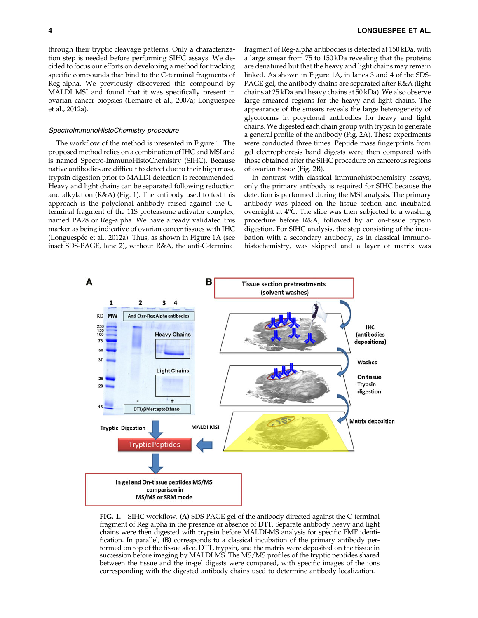through their tryptic cleavage patterns. Only a characterization step is needed before performing SIHC assays. We decided to focus our efforts on developing a method for tracking specific compounds that bind to the C-terminal fragments of Reg-alpha. We previously discovered this compound by MALDI MSI and found that it was specifically present in ovarian cancer biopsies (Lemaire et al., 2007a; Longuespee et al., 2012a).

#### SpectroImmunoHistoChemistry procedure

The workflow of the method is presented in Figure 1. The proposed method relies on a combination of IHC and MSI and is named Spectro-ImmunoHistoChemistry (SIHC). Because native antibodies are difficult to detect due to their high mass, trypsin digestion prior to MALDI detection is recommended. Heavy and light chains can be separated following reduction and alkylation (R&A) (Fig. 1). The antibody used to test this approach is the polyclonal antibody raised against the Cterminal fragment of the 11S proteasome activator complex, named PA28 or Reg-alpha. We have already validated this marker as being indicative of ovarian cancer tissues with IHC (Longuespée et al., 2012a). Thus, as shown in Figure 1A (see inset SDS-PAGE, lane 2), without R&A, the anti-C-terminal fragment of Reg-alpha antibodies is detected at 150 kDa, with a large smear from 75 to 150 kDa revealing that the proteins are denatured but that the heavy and light chains may remain linked. As shown in Figure 1A, in lanes 3 and 4 of the SDS-PAGE gel, the antibody chains are separated after R&A (light chains at 25 kDa and heavy chains at 50 kDa). We also observe large smeared regions for the heavy and light chains. The appearance of the smears reveals the large heterogeneity of glycoforms in polyclonal antibodies for heavy and light chains. We digested each chain group with trypsin to generate a general profile of the antibody (Fig. 2A). These experiments were conducted three times. Peptide mass fingerprints from gel electrophoresis band digests were then compared with those obtained after the SIHC procedure on cancerous regions of ovarian tissue (Fig. 2B).

In contrast with classical immunohistochemistry assays, only the primary antibody is required for SIHC because the detection is performed during the MSI analysis. The primary antibody was placed on the tissue section and incubated overnight at 4°C. The slice was then subjected to a washing procedure before R&A, followed by an on-tissue trypsin digestion. For SIHC analysis, the step consisting of the incubation with a secondary antibody, as in classical immunohistochemistry, was skipped and a layer of matrix was



FIG. 1. SIHC workflow. (A) SDS-PAGE gel of the antibody directed against the C-terminal fragment of Reg alpha in the presence or absence of DTT. Separate antibody heavy and light chains were then digested with trypsin before MALDI-MS analysis for specific PMF identification. In parallel, (B) corresponds to a classical incubation of the primary antibody performed on top of the tissue slice. DTT, trypsin, and the matrix were deposited on the tissue in succession before imaging by MALDI MS. The MS/MS profiles of the tryptic peptides shared between the tissue and the in-gel digests were compared, with specific images of the ions corresponding with the digested antibody chains used to determine antibody localization.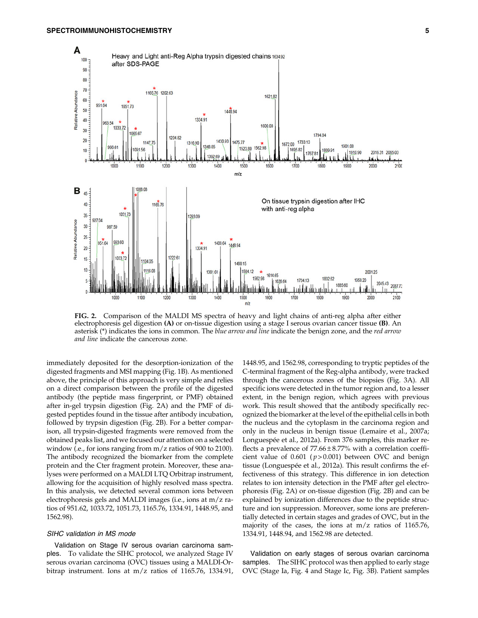

FIG. 2. Comparison of the MALDI MS spectra of heavy and light chains of anti-reg alpha after either electrophoresis gel digestion (A) or on-tissue digestion using a stage I serous ovarian cancer tissue (B). An asterisk (\*) indicates the ions in common. The *blue arrow and line* indicate the benign zone, and the *red arrow* and line indicate the cancerous zone.

immediately deposited for the desorption-ionization of the digested fragments and MSI mapping (Fig. 1B). As mentioned above, the principle of this approach is very simple and relies on a direct comparison between the profile of the digested antibody (the peptide mass fingerprint, or PMF) obtained after in-gel trypsin digestion (Fig. 2A) and the PMF of digested peptides found in the tissue after antibody incubation, followed by trypsin digestion (Fig. 2B). For a better comparison, all trypsin-digested fragments were removed from the obtained peaks list, and we focused our attention on a selected window (.e., for ions ranging from  $m/z$  ratios of 900 to 2100). The antibody recognized the biomarker from the complete protein and the Cter fragment protein. Moreover, these analyses were performed on a MALDI LTQ Orbitrap instrument, allowing for the acquisition of highly resolved mass spectra. In this analysis, we detected several common ions between electrophoresis gels and MALDI images (i.e., ions at m/z ratios of 951.62, 1033.72, 1051.73, 1165.76, 1334.91, 1448.95, and 1562.98).

## SIHC validation in MS mode

Validation on Stage IV serous ovarian carcinoma samples. To validate the SIHC protocol, we analyzed Stage IV serous ovarian carcinoma (OVC) tissues using a MALDI-Orbitrap instrument. Ions at m/z ratios of 1165.76, 1334.91, 1448.95, and 1562.98, corresponding to tryptic peptides of the C-terminal fragment of the Reg-alpha antibody, were tracked through the cancerous zones of the biopsies (Fig. 3A). All specific ions were detected in the tumor region and, to a lesser extent, in the benign region, which agrees with previous work. This result showed that the antibody specifically recognized the biomarker at the level of the epithelial cells in both the nucleus and the cytoplasm in the carcinoma region and only in the nucleus in benign tissue (Lemaire et al., 2007a; Longuespée et al., 2012a). From 376 samples, this marker reflects a prevalence of  $77.66 \pm 8.77\%$  with a correlation coefficient value of 0.601 ( $p > 0.001$ ) between OVC and benign tissue (Longuespée et al., 2012a). This result confirms the effectiveness of this strategy. This difference in ion detection relates to ion intensity detection in the PMF after gel electrophoresis (Fig. 2A) or on-tissue digestion (Fig. 2B) and can be explained by ionization differences due to the peptide structure and ion suppression. Moreover, some ions are preferentially detected in certain stages and grades of OVC, but in the majority of the cases, the ions at  $m/z$  ratios of 1165.76, 1334.91, 1448.94, and 1562.98 are detected.

Validation on early stages of serous ovarian carcinoma samples. The SIHC protocol was then applied to early stage OVC (Stage Ia, Fig. 4 and Stage Ic, Fig. 3B). Patient samples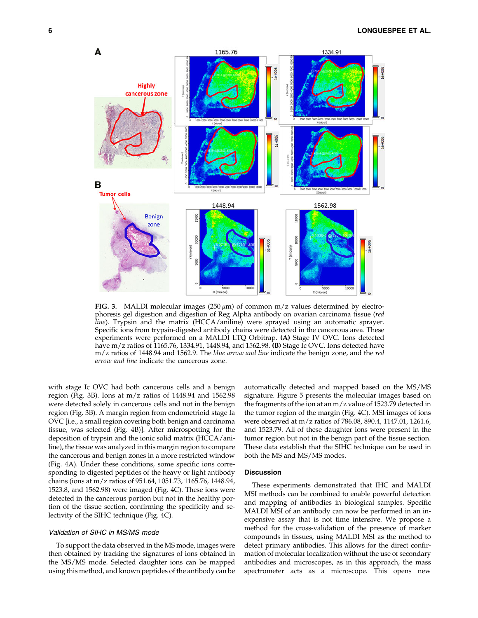

FIG. 3. MALDI molecular images (250  $\mu$ m) of common m/z values determined by electrophoresis gel digestion and digestion of Reg Alpha antibody on ovarian carcinoma tissue (red line). Trypsin and the matrix (HCCA/aniline) were sprayed using an automatic sprayer. Specific ions from trypsin-digested antibody chains were detected in the cancerous area. These experiments were performed on a MALDI LTQ Orbitrap. (A) Stage IV OVC. Ions detected have m/z ratios of 1165.76, 1334.91, 1448.94, and 1562.98. **(B)** Stage Ic OVC. Ions detected have m/z ratios of 1448.94 and 1562.9. The *blue arrow and line* indicate the benign zone, and the *red* arrow and line indicate the cancerous zone.

with stage Ic OVC had both cancerous cells and a benign region (Fig. 3B). Ions at  $m/z$  ratios of 1448.94 and 1562.98 were detected solely in cancerous cells and not in the benign region (Fig. 3B). A margin region from endometrioid stage Ia OVC [i.e., a small region covering both benign and carcinoma tissue, was selected (Fig. 4B)]. After microspotting for the deposition of trypsin and the ionic solid matrix (HCCA/aniline), the tissue was analyzed in this margin region to compare the cancerous and benign zones in a more restricted window (Fig. 4A). Under these conditions, some specific ions corresponding to digested peptides of the heavy or light antibody chains (ions at m/z ratios of 951.64, 1051.73, 1165.76, 1448.94, 1523.8, and 1562.98) were imaged (Fig. 4C). These ions were detected in the cancerous portion but not in the healthy portion of the tissue section, confirming the specificity and selectivity of the SIHC technique (Fig. 4C).

# Validation of SIHC in MS/MS mode

To support the data observed in the MS mode, images were then obtained by tracking the signatures of ions obtained in the MS/MS mode. Selected daughter ions can be mapped using this method, and known peptides of the antibody can be automatically detected and mapped based on the MS/MS signature. Figure 5 presents the molecular images based on the fragments of the ion at an m/z value of 1523.79 detected in the tumor region of the margin (Fig. 4C). MSI images of ions were observed at m/z ratios of 786.08, 890.4, 1147.01, 1261.6, and 1523.79. All of these daughter ions were present in the tumor region but not in the benign part of the tissue section. These data establish that the SIHC technique can be used in both the MS and MS/MS modes.

# Discussion

These experiments demonstrated that IHC and MALDI MSI methods can be combined to enable powerful detection and mapping of antibodies in biological samples. Specific MALDI MSI of an antibody can now be performed in an inexpensive assay that is not time intensive. We propose a method for the cross-validation of the presence of marker compounds in tissues, using MALDI MSI as the method to detect primary antibodies. This allows for the direct confirmation of molecular localization without the use of secondary antibodies and microscopes, as in this approach, the mass spectrometer acts as a microscope. This opens new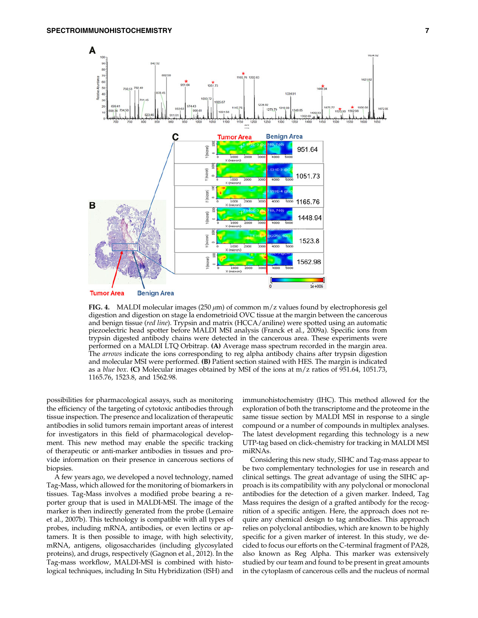

FIG. 4. MALDI molecular images (250  $\mu$ m) of common m/z values found by electrophoresis gel digestion and digestion on stage Ia endometrioid OVC tissue at the margin between the cancerous and benign tissue (red line). Trypsin and matrix (HCCA/aniline) were spotted using an automatic piezoelectric head spotter before MALDI MSI analysis (Franck et al., 2009a). Specific ions from trypsin digested antibody chains were detected in the cancerous area. These experiments were performed on a MALDI LTQ Orbitrap. (A) Average mass spectrum recorded in the margin area. The arrows indicate the ions corresponding to reg alpha antibody chains after trypsin digestion and molecular MSI were performed. (B) Patient section stained with HES. The margin is indicated as a blue box. (C) Molecular images obtained by MSI of the ions at  $m/z$  ratios of 951.64, 1051.73, 1165.76, 1523.8, and 1562.98.

possibilities for pharmacological assays, such as monitoring the efficiency of the targeting of cytotoxic antibodies through tissue inspection. The presence and localization of therapeutic antibodies in solid tumors remain important areas of interest for investigators in this field of pharmacological development. This new method may enable the specific tracking of therapeutic or anti-marker antibodies in tissues and provide information on their presence in cancerous sections of biopsies.

A few years ago, we developed a novel technology, named Tag-Mass, which allowed for the monitoring of biomarkers in tissues. Tag-Mass involves a modified probe bearing a reporter group that is used in MALDI-MSI. The image of the marker is then indirectly generated from the probe (Lemaire et al., 2007b). This technology is compatible with all types of probes, including mRNA, antibodies, or even lectins or aptamers. It is then possible to image, with high selectivity, mRNA, antigens, oligosaccharides (including glycosylated proteins), and drugs, respectively (Gagnon et al., 2012). In the Tag-mass workflow, MALDI-MSI is combined with histological techniques, including In Situ Hybridization (ISH) and immunohistochemistry (IHC). This method allowed for the exploration of both the transcriptome and the proteome in the same tissue section by MALDI MSI in response to a single compound or a number of compounds in multiplex analyses. The latest development regarding this technology is a new UTP-tag based on click-chemistry for tracking in MALDI MSI miRNAs.

Considering this new study, SIHC and Tag-mass appear to be two complementary technologies for use in research and clinical settings. The great advantage of using the SIHC approach is its compatibility with any polyclonal or monoclonal antibodies for the detection of a given marker. Indeed, Tag Mass requires the design of a grafted antibody for the recognition of a specific antigen. Here, the approach does not require any chemical design to tag antibodies. This approach relies on polyclonal antibodies, which are known to be highly specific for a given marker of interest. In this study, we decided to focus our efforts on the C-terminal fragment of PA28, also known as Reg Alpha. This marker was extensively studied by our team and found to be present in great amounts in the cytoplasm of cancerous cells and the nucleus of normal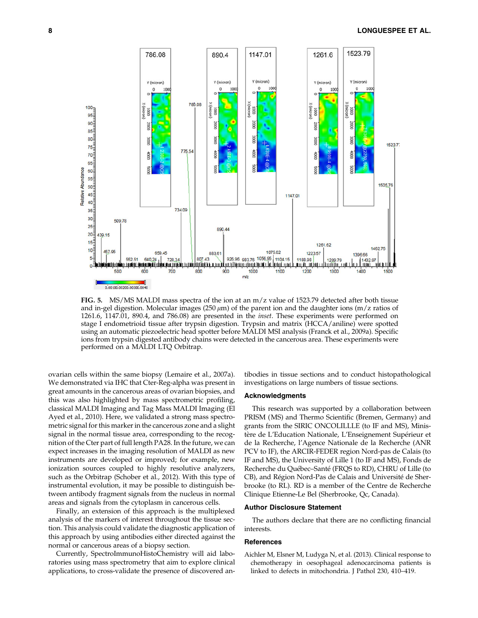

FIG. 5. MS/MS MALDI mass spectra of the ion at an m/z value of 1523.79 detected after both tissue and in-gel digestion. Molecular images (250  $\mu$ m) of the parent ion and the daughter ions (m/z ratios of 1261.6, 1147.01, 890.4, and 786.08) are presented in the inset. These experiments were performed on stage I endometrioid tissue after trypsin digestion. Trypsin and matrix (HCCA/aniline) were spotted using an automatic piezoelectric head spotter before MALDI MSI analysis (Franck et al., 2009a). Specific ions from trypsin digested antibody chains were detected in the cancerous area. These experiments were performed on a MALDI LTQ Orbitrap.

ovarian cells within the same biopsy (Lemaire et al., 2007a). We demonstrated via IHC that Cter-Reg-alpha was present in great amounts in the cancerous areas of ovarian biopsies, and this was also highlighted by mass spectrometric profiling, classical MALDI Imaging and Tag Mass MALDI Imaging (El Ayed et al., 2010). Here, we validated a strong mass spectrometric signal for this marker in the cancerous zone and a slight signal in the normal tissue area, corresponding to the recognition of the Cter part of full length PA28. In the future, we can expect increases in the imaging resolution of MALDI as new instruments are developed or improved; for example, new ionization sources coupled to highly resolutive analyzers, such as the Orbitrap (Schober et al., 2012). With this type of instrumental evolution, it may be possible to distinguish between antibody fragment signals from the nucleus in normal areas and signals from the cytoplasm in cancerous cells.

Finally, an extension of this approach is the multiplexed analysis of the markers of interest throughout the tissue section. This analysis could validate the diagnostic application of this approach by using antibodies either directed against the normal or cancerous areas of a biopsy section.

Currently, SpectroImmunoHistoChemistry will aid laboratories using mass spectrometry that aim to explore clinical applications, to cross-validate the presence of discovered antibodies in tissue sections and to conduct histopathological investigations on large numbers of tissue sections.

### Acknowledgments

This research was supported by a collaboration between PRISM (MS) and Thermo Scientific (Bremen, Germany) and grants from the SIRIC ONCOLILLLE (to IF and MS), Ministère de L'Education Nationale, L'Enseignement Supérieur et de la Recherche, l'Agence Nationale de la Recherche (ANR PCV to IF), the ARCIR-FEDER region Nord-pas de Calais (to IF and MS), the University of Lille 1 (to IF and MS), Fonds de Recherche du Québec–Santé (FRQS to RD), CHRU of Lille (to CB), and Région Nord-Pas de Calais and Université de Sherbrooke (to RL). RD is a member of the Centre de Recherche Clinique Etienne-Le Bel (Sherbrooke, Qc, Canada).

## Author Disclosure Statement

The authors declare that there are no conflicting financial interests.

## **References**

Aichler M, Elsner M, Ludyga N, et al. (2013). Clinical response to chemotherapy in oesophageal adenocarcinoma patients is linked to defects in mitochondria. J Pathol 230, 410–419.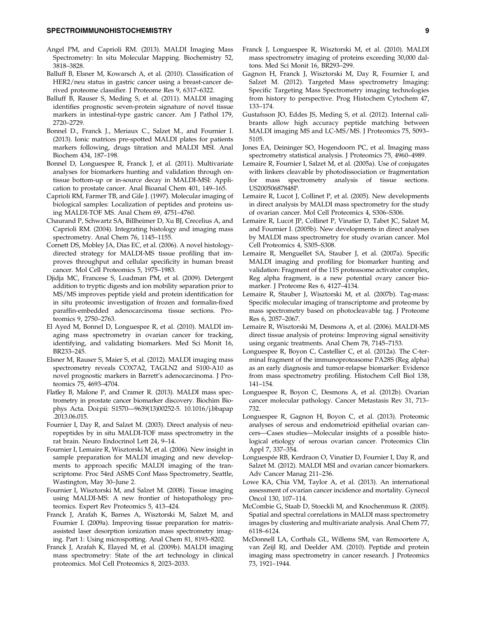- Angel PM, and Caprioli RM. (2013). MALDI Imaging Mass Spectrometry: In situ Molecular Mapping. Biochemistry 52, 3818–3828.
- Balluff B, Elsner M, Kowarsch A, et al. (2010). Classification of HER2/neu status in gastric cancer using a breast-cancer derived proteome classifier. J Proteome Res 9, 6317–6322.
- Balluff B, Rauser S, Meding S, et al. (2011). MALDI imaging identifies prognostic seven-protein signature of novel tissue markers in intestinal-type gastric cancer. Am J Pathol 179, 2720–2729.
- Bonnel D., Franck J., Meriaux C., Salzet M., and Fournier I. (2013). Ionic matrices pre-spotted MALDI plates for patients markers following, drugs titration and MALDI MSI. Anal Biochem 434, 187–198.
- Bonnel D, Longuespee R, Franck J, et al. (2011). Multivariate analyses for biomarkers hunting and validation through ontissue bottom-up or in-source decay in MALDI-MSI: Application to prostate cancer. Anal Bioanal Chem 401, 149–165.
- Caprioli RM, Farmer TB, and Gile J. (1997). Molecular imaging of biological samples: Localization of peptides and proteins using MALDI-TOF MS. Anal Chem 69, 4751–4760.
- Chaurand P, Schwartz SA, Billheimer D, Xu BJ, Crecelius A, and Caprioli RM. (2004). Integrating histology and imaging mass spectrometry. Anal Chem 76, 1145–1155.
- Cornett DS, Mobley JA, Dias EC, et al. (2006). A novel histologydirected strategy for MALDI-MS tissue profiling that improves throughput and cellular specificity in human breast cancer. Mol Cell Proteomics 5, 1975–1983.
- Djidja MC, Francese S, Loadman PM, et al. (2009). Detergent addition to tryptic digests and ion mobility separation prior to MS/MS improves peptide yield and protein identification for in situ proteomic investigation of frozen and formalin-fixed paraffin-embedded adenocarcinoma tissue sections. Proteomics 9, 2750–2763.
- El Ayed M, Bonnel D, Longuespee R, et al. (2010). MALDI imaging mass spectrometry in ovarian cancer for tracking, identifying, and validating biomarkers. Med Sci Monit 16, BR233–245.
- Elsner M, Rauser S, Maier S, et al. (2012). MALDI imaging mass spectrometry reveals COX7A2, TAGLN2 and S100-A10 as novel prognostic markers in Barrett's adenocarcinoma. J Proteomics 75, 4693–4704.
- Flatley B, Malone P, and Cramer R. (2013). MALDI mass spectrometry in prostate cancer biomarker discovery. Biochim Biophys Acta. Doi:pii: S1570—9639(13)00252-5. 10.1016/j.bbapap .2013.06.015.
- Fournier I, Day R, and Salzet M. (2003). Direct analysis of neuropeptides by in situ MALDI-TOF mass spectrometry in the rat brain. Neuro Endocrinol Lett 24, 9–14.
- Fournier I, Lemaire R, Wisztorski M, et al. (2006). New insight in sample preparation for MALDI imaging and new developments to approach specific MALDI imaging of the transcriptome. Proc 54rd ASMS Conf Mass Spectrometry, Seattle, Wastington, May 30–June 2.
- Fournier I, Wisztorski M, and Salzet M. (2008). Tissue imaging using MALDI-MS: A new frontier of histopathology proteomics. Expert Rev Proteomics 5, 413–424.
- Franck J, Arafah K, Barnes A, Wisztorski M, Salzet M, and Fournier I. (2009a). Improving tissue preparation for matrixassisted laser desorption ionization mass spectrometry imaging. Part 1: Using microspotting. Anal Chem 81, 8193–8202.
- Franck J, Arafah K, Elayed M, et al. (2009b). MALDI imaging mass spectrometry: State of the art technology in clinical proteomics. Mol Cell Proteomics 8, 2023–2033.
- Franck J, Longuespee R, Wisztorski M, et al. (2010). MALDI mass spectrometry imaging of proteins exceeding 30,000 daltons. Med Sci Monit 16, BR293–299.
- Gagnon H, Franck J, Wisztorski M, Day R, Fournier I, and Salzet M. (2012). Targeted Mass spectrometry Imaging: Specific Targeting Mass Spectrometry imaging technologies from history to perspective. Prog Histochem Cytochem 47, 133–174.
- Gustafsson JO, Eddes JS, Meding S, et al. (2012). Internal calibrants allow high accuracy peptide matching between MALDI imaging MS and LC-MS/MS. J Proteomics 75, 5093– 5105.
- Jones EA, Deininger SO, Hogendoorn PC, et al. Imaging mass spectrometry statistical analysis. J Proteomics 75, 4960–4989.
- Lemaire R, Fournier I, Salzet M, et al. (2005a). Use of conjugates with linkers cleavable by photodissociation or fragmentation for mass spectrometry analysis of tissue sections. US20050687848P.
- Lemaire R, Lucot J, Collinet P, et al. (2005). New developments in direct analysis by MALDI mass spectrometry for the study of ovarian cancer. Mol Cell Proteomics 4, S306–S306.
- Lemaire R, Lucot JP, Collinet P, Vinatier D, Tabet JC, Salzet M, and Fournier I. (2005b). New developments in direct analyses by MALDI mass spectrometry for study ovarian cancer. Mol Cell Proteomics 4, S305–S308.
- Lemaire R, Menguellet SA, Stauber J, et al. (2007a). Specific MALDI imaging and profiling for biomarker hunting and validation: Fragment of the 11S proteasome activator complex, Reg alpha fragment, is a new potential ovary cancer biomarker. J Proteome Res 6, 4127–4134.
- Lemaire R, Stauber J, Wisztorski M, et al. (2007b). Tag-mass: Specific molecular imaging of transcriptome and proteome by mass spectrometry based on photocleavable tag. J Proteome Res 6, 2057–2067.
- Lemaire R, Wisztorski M, Desmons A, et al. (2006). MALDI-MS direct tissue analysis of proteins: Improving signal sensitivity using organic treatments. Anal Chem 78, 7145–7153.
- Longuespee R, Boyon C, Castellier C, et al. (2012a). The C-terminal fragment of the immunoproteasome PA28S (Reg alpha) as an early diagnosis and tumor-relapse biomarker: Evidence from mass spectrometry profiling. Histochem Cell Biol 138, 141–154.
- Longuespee R, Boyon C, Desmons A, et al. (2012b). Ovarian cancer molecular pathology. Cancer Metastasis Rev 31, 713– 732.
- Longuespee R, Gagnon H, Boyon C, et al. (2013). Proteomic analyses of serous and endometrioid epithelial ovarian cancers—Cases studies—Molecular insights of a possible histological etiology of serous ovarian cancer. Proteomics Clin Appl 7, 337–354.
- Longuespée RB, Kerdraon O, Vinatier D, Fournier I, Day R, and Salzet M. (2012). MALDI MSI and ovarian cancer biomarkers. Adv Cancer Manag 211–236.
- Lowe KA, Chia VM, Taylor A, et al. (2013). An international assessment of ovarian cancer incidence and mortality. Gynecol Oncol 130, 107–114.
- McCombie G, Staab D, Stoeckli M, and Knochenmuss R. (2005). Spatial and spectral correlations in MALDI mass spectrometry images by clustering and multivariate analysis. Anal Chem 77, 6118–6124.
- McDonnell LA, Corthals GL, Willems SM, van Remoortere A, van Zeijl RJ, and Deelder AM. (2010). Peptide and protein imaging mass spectrometry in cancer research. J Proteomics 73, 1921–1944.